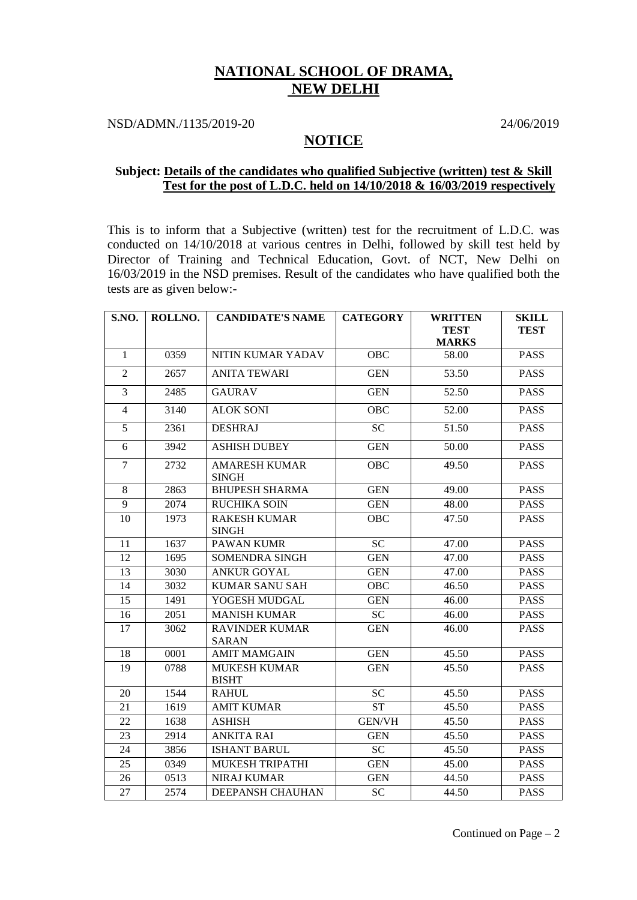## **NATIONAL SCHOOL OF DRAMA, NEW DELHI**

NSD/ADMN./1135/2019-20 24/06/2019

## **NOTICE**

## **Subject: Details of the candidates who qualified Subjective (written) test & Skill Test for the post of L.D.C. held on 14/10/2018 & 16/03/2019 respectively**

This is to inform that a Subjective (written) test for the recruitment of L.D.C. was conducted on 14/10/2018 at various centres in Delhi, followed by skill test held by Director of Training and Technical Education, Govt. of NCT, New Delhi on 16/03/2019 in the NSD premises. Result of the candidates who have qualified both the tests are as given below:-

| S.NO.          | ROLLNO. | <b>CANDIDATE'S NAME</b>               | <b>CATEGORY</b> | <b>WRITTEN</b>              | <b>SKILL</b> |
|----------------|---------|---------------------------------------|-----------------|-----------------------------|--------------|
|                |         |                                       |                 | <b>TEST</b><br><b>MARKS</b> | <b>TEST</b>  |
| $\mathbf{1}$   | 0359    | NITIN KUMAR YADAV                     | <b>OBC</b>      | 58.00                       | <b>PASS</b>  |
| 2              | 2657    | <b>ANITA TEWARI</b>                   | <b>GEN</b>      | 53.50                       | <b>PASS</b>  |
| $\overline{3}$ | 2485    | <b>GAURAV</b>                         | <b>GEN</b>      | 52.50                       | <b>PASS</b>  |
| $\overline{4}$ | 3140    | <b>ALOK SONI</b>                      | <b>OBC</b>      | 52.00                       | <b>PASS</b>  |
| 5              | 2361    | <b>DESHRAJ</b>                        | SC              | 51.50                       | <b>PASS</b>  |
| 6              | 3942    | <b>ASHISH DUBEY</b>                   | <b>GEN</b>      | 50.00                       | <b>PASS</b>  |
| $\overline{7}$ | 2732    | <b>AMARESH KUMAR</b><br><b>SINGH</b>  | <b>OBC</b>      | 49.50                       | <b>PASS</b>  |
| $8\,$          | 2863    | <b>BHUPESH SHARMA</b>                 | <b>GEN</b>      | 49.00                       | <b>PASS</b>  |
| 9              | 2074    | RUCHIKA SOIN                          | <b>GEN</b>      | 48.00                       | <b>PASS</b>  |
| 10             | 1973    | <b>RAKESH KUMAR</b><br><b>SINGH</b>   | <b>OBC</b>      | 47.50                       | <b>PASS</b>  |
| 11             | 1637    | <b>PAWAN KUMR</b>                     | <b>SC</b>       | 47.00                       | <b>PASS</b>  |
| 12             | 1695    | SOMENDRA SINGH                        | <b>GEN</b>      | 47.00                       | <b>PASS</b>  |
| 13             | 3030    | <b>ANKUR GOYAL</b>                    | <b>GEN</b>      | 47.00                       | <b>PASS</b>  |
| 14             | 3032    | <b>KUMAR SANU SAH</b>                 | OBC             | 46.50                       | <b>PASS</b>  |
| 15             | 1491    | YOGESH MUDGAL                         | <b>GEN</b>      | 46.00                       | <b>PASS</b>  |
| 16             | 2051    | <b>MANISH KUMAR</b>                   | SC              | 46.00                       | <b>PASS</b>  |
| 17             | 3062    | <b>RAVINDER KUMAR</b><br><b>SARAN</b> | <b>GEN</b>      | 46.00                       | <b>PASS</b>  |
| 18             | 0001    | <b>AMIT MAMGAIN</b>                   | <b>GEN</b>      | 45.50                       | <b>PASS</b>  |
| 19             | 0788    | <b>MUKESH KUMAR</b><br><b>BISHT</b>   | <b>GEN</b>      | 45.50                       | <b>PASS</b>  |
| 20             | 1544    | <b>RAHUL</b>                          | <b>SC</b>       | 45.50                       | <b>PASS</b>  |
| 21             | 1619    | <b>AMIT KUMAR</b>                     | <b>ST</b>       | 45.50                       | <b>PASS</b>  |
| 22             | 1638    | <b>ASHISH</b>                         | <b>GEN/VH</b>   | 45.50                       | <b>PASS</b>  |
| 23             | 2914    | <b>ANKITA RAI</b>                     | <b>GEN</b>      | 45.50                       | <b>PASS</b>  |
| 24             | 3856    | <b>ISHANT BARUL</b>                   | SC              | 45.50                       | <b>PASS</b>  |
| 25             | 0349    | MUKESH TRIPATHI                       | <b>GEN</b>      | 45.00                       | <b>PASS</b>  |
| 26             | 0513    | <b>NIRAJ KUMAR</b>                    | <b>GEN</b>      | 44.50                       | <b>PASS</b>  |
| 27             | 2574    | <b>DEEPANSH CHAUHAN</b>               | <b>SC</b>       | 44.50                       | <b>PASS</b>  |

Continued on Page  $-2$